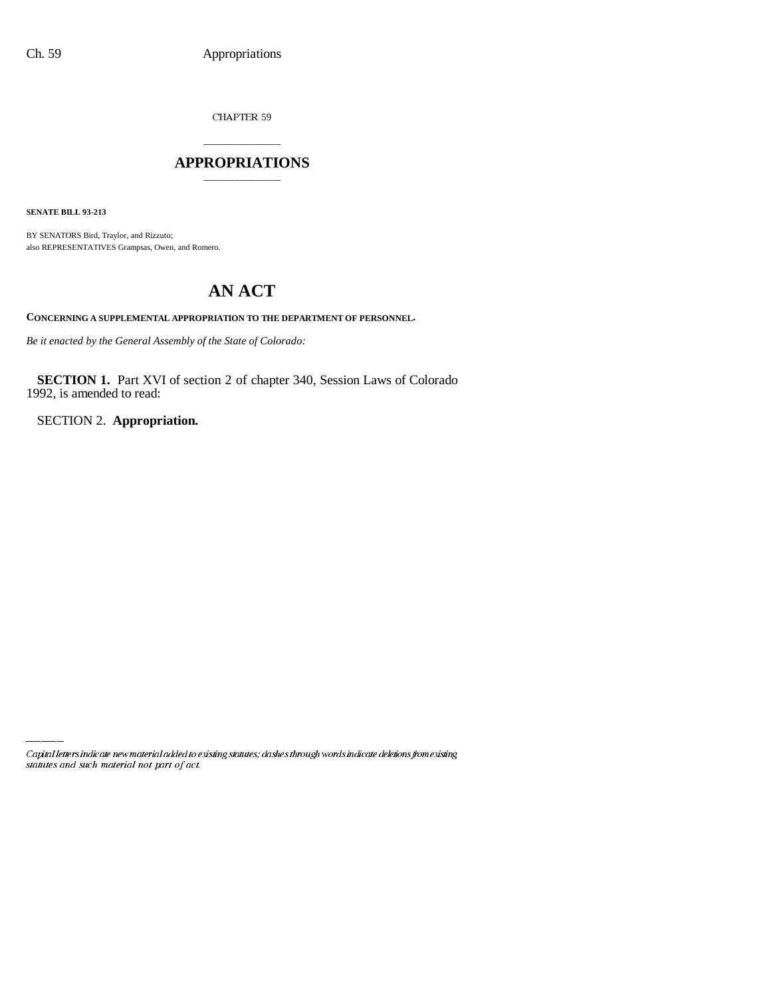CHAPTER 59

# \_\_\_\_\_\_\_\_\_\_\_\_\_\_\_ **APPROPRIATIONS** \_\_\_\_\_\_\_\_\_\_\_\_\_\_\_

**SENATE BILL 93-213**

BY SENATORS Bird, Traylor, and Rizzuto; also REPRESENTATIVES Grampsas, Owen, and Romero.

# **AN ACT**

**CONCERNING A SUPPLEMENTAL APPROPRIATION TO THE DEPARTMENT OF PERSONNEL.**

*Be it enacted by the General Assembly of the State of Colorado:*

**SECTION 1.** Part XVI of section 2 of chapter 340, Session Laws of Colorado 1992, is amended to read:

SECTION 2. **Appropriation.**

Capital letters indicate new material added to existing statutes; dashes through words indicate deletions from existing statutes and such material not part of act.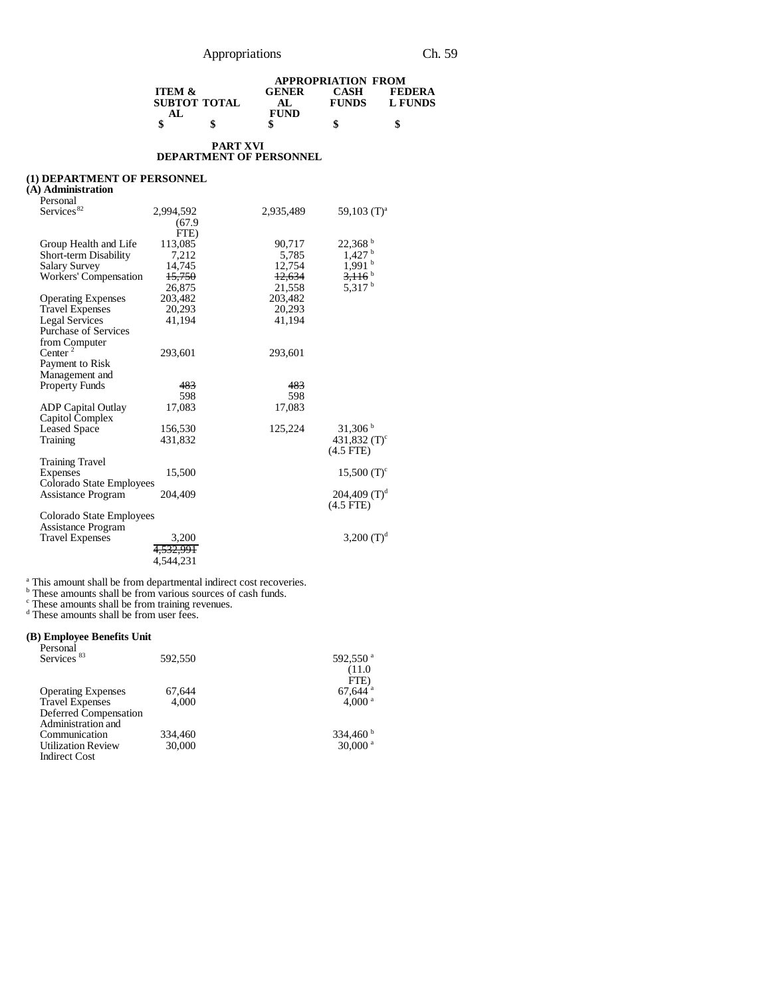|                   |              | <b>APPROPRIATION FROM</b> |              |               |
|-------------------|--------------|---------------------------|--------------|---------------|
| <b>ITEM &amp;</b> |              | <b>GENER</b>              | <b>CASH</b>  | <b>FEDERA</b> |
|                   | SUBTOT TOTAL | AL.                       | <b>FUNDS</b> | L FUNDS       |
| AL.               |              | <b>FUND</b>               |              |               |
|                   | S            |                           | \$           | \$            |

#### **PART XVI DEPARTMENT OF PERSONNEL**

#### **(1) DEPARTMENT OF PERSONNEL**

### **(A) Administration**

| Personal                    |                      |           |                           |
|-----------------------------|----------------------|-----------|---------------------------|
| Services <sup>82</sup>      | 2,994,592            | 2,935,489 | 59,103 $(T)^a$            |
|                             | (67.9)               |           |                           |
|                             | FTE)                 |           |                           |
| Group Health and Life       | 113,085              | 90.717    | $22,368^{\mathrm{b}}$     |
| Short-term Disability       | 7,212                | 5,785     | $1,427$ <sup>b</sup>      |
| <b>Salary Survey</b>        | 14,745               | 12,754    | $1,991$ <sup>b</sup>      |
| Workers' Compensation       | 15,750               | 12,634    | $3,116$ <sup>b</sup>      |
|                             | 26,875               | 21,558    | 5,317 $^{\rm b}$          |
| <b>Operating Expenses</b>   | 203,482              | 203,482   |                           |
|                             | 20,293               | 20,293    |                           |
| <b>Travel Expenses</b>      |                      | 41.194    |                           |
| <b>Legal Services</b>       | 41,194               |           |                           |
| <b>Purchase of Services</b> |                      |           |                           |
| from Computer               |                      |           |                           |
| Center <sup>2</sup>         | 293,601              | 293,601   |                           |
| Payment to Risk             |                      |           |                           |
| Management and              |                      |           |                           |
| <b>Property Funds</b>       | 483                  | 483       |                           |
|                             | 598                  | 598       |                           |
| <b>ADP</b> Capital Outlay   | 17,083               | 17,083    |                           |
| Capitol Complex             |                      |           |                           |
| <b>Leased Space</b>         | 156,530              | 125,224   | 31,306 <sup>b</sup>       |
| Training                    | 431,832              |           | 431,832 $(T)^c$           |
|                             |                      |           | $(4.5$ FTE)               |
| <b>Training Travel</b>      |                      |           |                           |
| Expenses                    | 15,500               |           | $15,500$ (T) <sup>c</sup> |
| Colorado State Employees    |                      |           |                           |
| Assistance Program          | 204,409              |           | 204,409 $(T)^d$           |
|                             |                      |           | $(4.5$ FTE)               |
| Colorado State Employees    |                      |           |                           |
| <b>Assistance Program</b>   |                      |           |                           |
| <b>Travel Expenses</b>      | 3,200                |           | 3,200 $(T)^d$             |
|                             | <del>4,532,991</del> |           |                           |
|                             | 4,544,231            |           |                           |
|                             |                      |           |                           |

<sup>a</sup> This amount shall be from departmental indirect cost recoveries.<br>
<sup>b</sup> These amounts shall be from training revenues.<br>
<sup>d</sup> These amounts shall be from user fees.

# **(B) Employee Benefits Unit**

| Personal<br>Services <sup>83</sup> | 592,550 | 592,550 <sup>a</sup>          |
|------------------------------------|---------|-------------------------------|
|                                    |         | (11.0)                        |
|                                    | 67,644  | FTE)<br>$67,644$ <sup>a</sup> |
| <b>Operating Expenses</b>          |         |                               |
| <b>Travel Expenses</b>             | 4.000   | 4.000 <sup>a</sup>            |
| Deferred Compensation              |         |                               |
| Administration and                 |         |                               |
| Communication                      | 334.460 | 334,460 $^{\rm b}$            |
| <b>Utilization Review</b>          | 30,000  | $30,000$ <sup>a</sup>         |
| <b>Indirect Cost</b>               |         |                               |